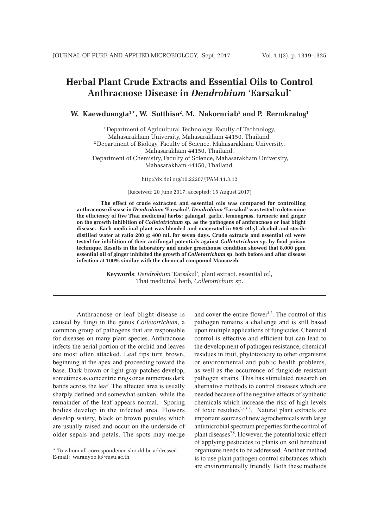# **Herbal Plant Crude Extracts and Essential Oils to Control Anthracnose Disease in** *Dendrobium* **'Earsakul'**

# **W. Kaewduangta1 \*, W. Sutthisa2 , M. Nakornriab3 and P. Rermkratog1**

1 Department of Agricultural Technology, Faculty of Technology, Mahasarakham University, Mahasarakham 44150, Thailand. 2 Department of Biology, Faculty of Science, Mahasarakham University, Mahasarakham 44150, Thailand. 3 Department of Chemistry, Faculty of Science, Mahasarakham University, Mahasarakham 44150, Thailand.

http://dx.doi.org/10.22207/JPAM.11.3.12

(Received: 20 June 2017; accepted: 15 August 2017)

**The effect of crude extracted and essential oils was compared for controlling anthracnose disease in** *Dendrobium* **'Earsakul'.** *Dendrobium* **'Earsakul' was tested to determine the efficiency of five Thai medicinal herbs: galangal, garlic, lemongrass, turmeric and ginger on the growth inhibition of** *Colletotrichum* **sp. as the pathogens of anthracnose or leaf blight disease. Each medicinal plant was blended and macerated in 95% ethyl alcohol and sterile distilled water at ratio 200 g: 400 mL for seven days. Crude extracts and essential oil were tested for inhibition of their antifungal potentials against** *Colletotrichum* **sp. by food poison technique. Results in the laboratory and under greenhouse condition showed that 8,000 ppm essential oil of ginger inhibited the growth of** *Colletotrichum* **sp. both before and after disease infection at 100% similar with the chemical compound Mancozeb.**

> **Keywords**: *Dendrobium* 'Earsakul', plant extract, essential oil, Thai medicinal herb, *Colletotrichum* sp.

Anthracnose or leaf blight disease is caused by fungi in the genus *Colletotrichum*, a common group of pathogens that are responsible for diseases on many plant species. Anthracnose infects the aerial portion of the orchid and leaves are most often attacked. Leaf tips turn brown, beginning at the apex and proceeding toward the base. Dark brown or light gray patches develop, sometimes as concentric rings or as numerous dark bands across the leaf. The affected area is usually sharply defined and somewhat sunken, while the remainder of the leaf appears normal. Sporing bodies develop in the infected area. Flowers develop watery, black or brown pustules which are usually raised and occur on the underside of older sepals and petals. The spots may merge

and cover the entire flower<sup>1,2</sup>. The control of this pathogen remains a challenge and is still based upon multiple applications of fungicides. Chemical control is effective and efficient but can lead to the development of pathogen resistance, chemical residues in fruit, phytotoxicity to other organisms or environmental and public health problems, as well as the occurrence of fungicide resistant pathogen strains. This has stimulated research on alternative methods to control diseases which are needed because of the negative effects of synthetic chemicals which increase the risk of high levels of toxic residues<sup>3,4,5,6</sup>. Natural plant extracts are important sources of new agrochemicals with large antimicrobial spectrum properties for the control of plant diseases7,8. However, the potential toxic effect of applying pesticides to plants on soil beneficial organisms needs to be addressed. Another method is to use plant pathogen control substances which are environmentally friendly. Both these methods

<sup>\*</sup> To whom all correspondence should be addressed. E-mail: waranyoo.k@msu.ac.th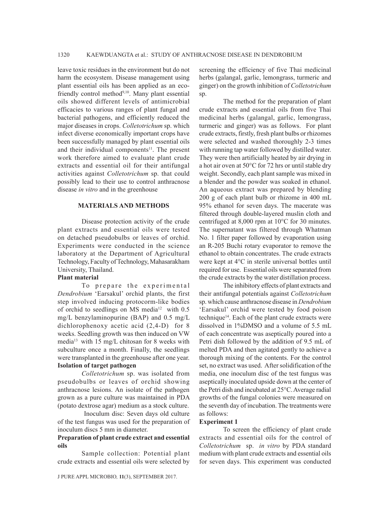leave toxic residues in the environment but do not harm the ecosystem. Disease management using plant essential oils has been applied as an ecofriendly control method<sup>9,10</sup>. Many plant essential oils showed different levels of antimicrobial efficacies to various ranges of plant fungal and bacterial pathogens, and efficiently reduced the major diseases in crops. *Colletotrichum* sp. which infect diverse economically important crops have been successfully managed by plant essential oils and their individual components<sup>11</sup>. The present work therefore aimed to evaluate plant crude extracts and essential oil for their antifungal activities against *Colletotrichum* sp. that could possibly lead to their use to control anthracnose disease *in vitro* and in the greenhouse

## **MATERIALS AND METHODS**

Disease protection activity of the crude plant extracts and essential oils were tested on detached pseudobulbs or leaves of orchid. Experiments were conducted in the science laboratory at the Department of Agricultural Technology, Faculty of Technology, Mahasarakham University, Thailand.

#### **Plant material**

To prepare the experimental *Dendrobium* 'Earsakul' orchid plants, the first step involved inducing protocorm-like bodies of orchid to seedlings on MS media<sup>12</sup> with 0.5 mg/L benzylaminopurine (BAP) and 0.5 mg/L dichlorophenoxy acetic acid  $(2,4-D)$  for 8 weeks. Seedling growth was then induced on VW media13 with 15 mg/L chitosan for 8 weeks with subculture once a month. Finally, the seedlings were transplanted in the greenhouse after one year. **Isolation of target pathogen**

*Colletotrichum* sp. was isolated from pseudobulbs or leaves of orchid showing anthracnose lesions. An isolate of the pathogen grown as a pure culture was maintained in PDA (potato dextrose agar) medium as a stock culture.

 Inoculum disc: Seven days old culture of the test fungus was used for the preparation of inoculum discs 5 mm in diameter.

## **Preparation of plant crude extract and essential oils**

Sample collection: Potential plant crude extracts and essential oils were selected by

screening the efficiency of five Thai medicinal herbs (galangal, garlic, lemongrass, turmeric and ginger) on the growth inhibition of *Colletotrichum*  sp.

The method for the preparation of plant crude extracts and essential oils from five Thai medicinal herbs (galangal, garlic, lemongrass, turmeric and ginger) was as follows. For plant crude extracts, firstly, fresh plant bulbs or rhizomes were selected and washed thoroughly 2-3 times with running tap water followed by distilled water. They were then artificially heated by air drying in a hot air oven at 50°C for 72 hrs or until stable dry weight. Secondly, each plant sample was mixed in a blender and the powder was soaked in ethanol. An aqueous extract was prepared by blending 200 g of each plant bulb or rhizome in 400 mL 95% ethanol for seven days. The macerate was filtered through double-layered muslin cloth and centrifuged at 8,000 rpm at 10°C for 30 minutes. The supernatant was filtered through Whatman No. 1 filter paper followed by evaporation using an R-205 Buchi rotary evaporator to remove the ethanol to obtain concentrates. The crude extracts were kept at 4°C in sterile universal bottles until required for use. Essential oils were separated from the crude extracts by the water distillation process.

The inhibitory effects of plant extracts and their antifungal potentials against *Colletotrichum*  sp. which cause anthracnose disease in *Dendrobium* 'Earsakul' orchid were tested by food poison technique14. Each of the plant crude extracts were dissolved in 1%DMSO and a volume of 5.5 mL of each concentrate was aseptically poured into a Petri dish followed by the addition of 9.5 mL of melted PDA and then agitated gently to achieve a thorough mixing of the contents. For the control set, no extract was used. After solidification of the media, one inoculum disc of the test fungus was aseptically inoculated upside down at the center of the Petri dish and incubated at 25°C. Average radial growths of the fungal colonies were measured on the seventh day of incubation. The treatments were as follows:

#### **Experiment 1**

To screen the efficiency of plant crude extracts and essential oils for the control of *Colletotrichum* sp. *in vitro* by PDA standard medium with plant crude extracts and essential oils for seven days. This experiment was conducted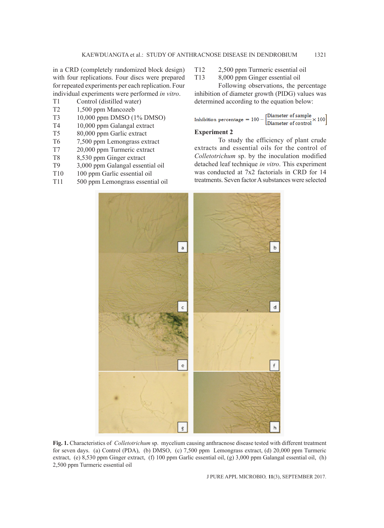in a CRD (completely randomized block design) with four replications. Four discs were prepared for repeated experiments per each replication. Four individual experiments were performed *in vitro*.

- T1 Control (distilled water)
- T2 1,500 ppm Mancozeb
- T3 10,000 ppm DMSO (1% DMSO)
- T4 10,000 ppm Galangal extract
- T5 80,000 ppm Garlic extract
- T6 7,500 ppm Lemongrass extract
- T7 20,000 ppm Turmeric extract
- T8 8,530 ppm Ginger extract
- T9 3,000 ppm Galangal essential oil
- T10 100 ppm Garlic essential oil
- T11 500 ppm Lemongrass essential oil

T12 2,500 ppm Turmeric essential oil

T13 8,000 ppm Ginger essential oil

Following observations, the percentage inhibition of diameter growth (PIDG) values was determined according to the equation below:

$$
\text{Inhibition percentage} = 100 - \left[\frac{\text{Diameter of sample}}{\text{Diameter of control}} \times 100\right]
$$

# **Experiment 2**

To study the efficiency of plant crude extracts and essential oils for the control of *Colletotrichum* sp. by the inoculation modified detached leaf technique *in vitro*. This experiment was conducted at 7x2 factorials in CRD for 14 treatments. Seven factor A substances were selected



**Fig. 1.** Characteristics of *Colletotrichum* sp. mycelium causing anthracnose disease tested with different treatment for seven days. (a) Control (PDA), (b) DMSO, (c) 7,500 ppm Lemongrass extract, (d) 20,000 ppm Turmeric extract, (e) 8,530 ppm Ginger extract, (f) 100 ppm Garlic essential oil, (g) 3,000 ppm Galangal essential oil, (h) 2,500 ppm Turmeric essential oil

J PURE APPL MICROBIO*,* **11**(3), SEPTEMBER 2017.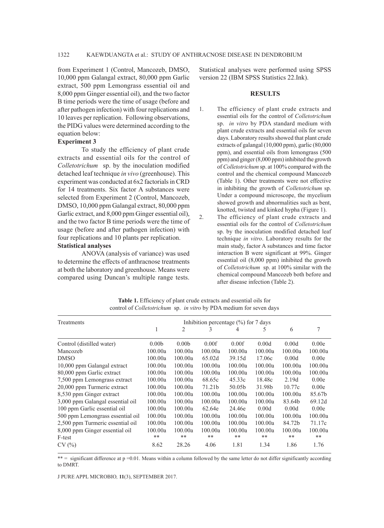from Experiment 1 (Control, Mancozeb, DMSO, 10,000 ppm Galangal extract, 80,000 ppm Garlic extract, 500 ppm Lemongrass essential oil and 8,000 ppm Ginger essential oil), and the two factor B time periods were the time of usage (before and after pathogen infection) with four replications and 10 leaves per replication. Following observations, the PIDG values were determined according to the equation below:

## **Experiment 3**

To study the efficiency of plant crude extracts and essential oils for the control of *Colletotrichum* sp. by the inoculation modified detached leaf technique *in vivo* (greenhouse). This experiment was conducted at 6x2 factorials in CRD for 14 treatments. Six factor A substances were selected from Experiment 2 (Control, Mancozeb, DMSO, 10,000 ppm Galangal extract, 80,000 ppm Garlic extract, and 8,000 ppm Ginger essential oil), and the two factor B time periods were the time of usage (before and after pathogen infection) with four replications and 10 plants per replication.

## **Statistical analyses**

ANOVA (analysis of variance) was used to determine the effects of anthracnose treatments at both the laboratory and greenhouse. Means were compared using Duncan's multiple range tests.

Statistical analyses were performed using SPSS version 22 (IBM SPSS Statistics 22.Ink).

#### **RESULTS**

- 1. The efficiency of plant crude extracts and essential oils for the control of *Colletotrichum* sp. *in vitro* by PDA standard medium with plant crude extracts and essential oils for seven days. Laboratory results showed that plant crude extracts of galangal (10,000 ppm), garlic (80,000 ppm), and essential oils from lemongrass (500 ppm) and ginger (8,000 ppm) inhibited the growth of *Colletotrichum* sp. at 100% compared with the control and the chemical compound Mancozeb (Table 1). Other treatments were not effective in inhibiting the growth of *Colletotrichum* sp. Under a compound microscope, the mycelium showed growth and abnormalities such as bent, knotted, twisted and kinked hypha (Figure 1).
- 2. The efficiency of plant crude extracts and essential oils for the control of *Colletotrichum* sp. by the inoculation modified detached leaf technique *in vitro*. Laboratory results for the main study, factor A substances and time factor interaction B were significant at 99%. Ginger essential oil (8,000 ppm) inhibited the growth of *Colletotrichum* sp. at 100% similar with the chemical compound Mancozeb both before and after disease infection (Table 2).

| Treatments                       | Inhibition percentage $(\% )$ for 7 days |                   |         |         |         |         |         |  |
|----------------------------------|------------------------------------------|-------------------|---------|---------|---------|---------|---------|--|
|                                  |                                          | $\overline{2}$    | 3       | 4       | 5       | 6       |         |  |
| Control (distilled water)        | 0.00 <sub>b</sub>                        | 0.00 <sub>b</sub> | 0.00f   | 0.00f   | 0.00d   | 0.00d   | 0.00e   |  |
| Mancozeb                         | 100.00a                                  | 100.00a           | 100.00a | 100.00a | 100.00a | 100.00a | 100.00a |  |
| <b>DMSO</b>                      | 100.00a                                  | 100.00a           | 65.02d  | 39.15d  | 17.06c  | 0.00d   | 0.00e   |  |
| 10,000 ppm Galangal extract      | 100.00a                                  | 100.00a           | 100.00a | 100.00a | 100.00a | 100.00a | 100.00a |  |
| 80,000 ppm Garlic extract        | 100.00a                                  | 100.00a           | 100.00a | 100.00a | 100.00a | 100.00a | 100.00a |  |
| 7,500 ppm Lemongrass extract     | 100.00a                                  | 100.00a           | 68.65c  | 45.33c  | 18.48c  | 2.19d   | 0.00e   |  |
| 20,000 ppm Turmeric extract      | 100.00a                                  | 100.00a           | 71.21b  | 50.05b  | 31.98b  | 10.77c  | 0.00e   |  |
| 8,530 ppm Ginger extract         | 100.00a                                  | 100.00a           | 100.00a | 100.00a | 100.00a | 100.00a | 85.67b  |  |
| 3,000 ppm Galangal essential oil | 100.00a                                  | 100.00a           | 100.00a | 100.00a | 100.00a | 83.64b  | 69.12d  |  |
| 100 ppm Garlic essential oil     | 100.00a                                  | 100.00a           | 62.64e  | 24.46e  | 0.00d   | 0.00d   | 0.00e   |  |
| 500 ppm Lemongrass essential oil | 100.00a                                  | 100.00a           | 100.00a | 100.00a | 100.00a | 100.00a | 100.00a |  |
| 2,500 ppm Turmeric essential oil | 100.00a                                  | 100.00a           | 100.00a | 100.00a | 100.00a | 84.72b  | 71.17c  |  |
| 8,000 ppm Ginger essential oil   | 100.00a                                  | 100.00a           | 100.00a | 100.00a | 100.00a | 100.00a | 100.00a |  |
| F-test                           | **                                       | **                | **      | **      | **      | **      | **      |  |
| CV(%)                            | 8.62                                     | 28.26             | 4.06    | 1.81    | 1.34    | 1.86    | 1.76    |  |

**Table 1.** Efficiency of plant crude extracts and essential oils for control of *Colletotrichum* sp. *in vitro* by PDA medium for seven days

\*\* = significant difference at p =0.01. Means within a column followed by the same letter do not differ significantly according to DMRT.

J PURE APPL MICROBIO*,* **11**(3), SEPTEMBER 2017.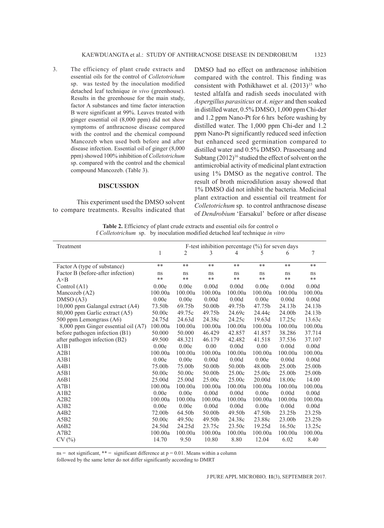3. The efficiency of plant crude extracts and essential oils for the control of *Colletotrichum* sp. was tested by the inoculation modified detached leaf technique *in vivo* (greenhouse). Results in the greenhouse for the main study, factor A substances and time factor interaction B were significant at 99%. Leaves treated with ginger essential oil (8,000 ppm) did not show symptoms of anthracnose disease compared with the control and the chemical compound Mancozeb when used both before and after disease infection. Essential oil of ginger (8,000 ppm) showed 100% inhibition of *Colletotrichum*  sp. compared with the control and the chemical compound Mancozeb. (Table 3).

## **DISCUSSION**

This experiment used the DMSO solvent to compare treatments. Results indicated that DMSO had no effect on anthracnose inhibition compared with the control. This finding was consistent with Pothikhawet et al.  $(2013)^{15}$  who tested alfalfa and radish seeds inoculated with *Aspergillus parasiticus* or *A. niger* and then soaked in distilled water, 0.5% DMSO, 1,000 ppm Chi-der and 1.2 ppm Nano-Pt for 6 hrs before washing by distilled water. The 1,000 ppm Chi-der and 1.2 ppm Nano-Pt significantly reduced seed infection but enhanced seed germination compared to distilled water and 0.5% DMSO. Prasoetsang and Subtang (2012)<sup>16</sup> studied the effect of solvent on the antimicrobial activity of medicinal plant extraction using 1% DMSO as the negative control. The result of broth microdilution assay showed that 1% DMSO did not inhibit the bacteria. Medicinal plant extraction and essential oil treatment for *Colletotrichum* sp. to control anthracnose disease of *Dendrobium* 'Earsakul' before or after disease

Table 2. Efficiency of plant crude extracts and essential oils for control o f *Colletotrichum* sp. by inoculation modified detached leaf technique *in vitro*

| Treatment                           | F-test inhibition percentage $(\%)$ for seven days |            |            |            |            |            |            |
|-------------------------------------|----------------------------------------------------|------------|------------|------------|------------|------------|------------|
|                                     | 1                                                  | 2          | 3          | 4          | 5          | 6          | 7          |
|                                     | **                                                 | **         | **         | **         | **         | **         | **         |
| Factor A (type of substance)        |                                                    |            |            |            |            |            |            |
| Factor B (before-after infection)   | ns<br>$**$                                         | ns<br>$**$ | ns<br>$**$ | ns<br>$**$ | ns<br>$**$ | ns<br>$**$ | ns<br>$**$ |
| $A \times B$                        |                                                    |            |            |            |            | 0.00d      |            |
| Control (A1)                        | 0.00e                                              | 0.00e      | 0.00d      | 0.00d      | 0.00e      |            | 0.00d      |
| Mancozeb (A2)                       | 100.00a                                            | 100.00a    | 100.00a    | 100.00a    | 100.00a    | 100.00a    | 100.00a    |
| DMSO(A3)                            | 0.00e                                              | 0.00e      | 0.00d      | 0.00d      | 0.00e      | 0.00d      | 0.00d      |
| 10,000 ppm Galangal extract (A4)    | 73.50b                                             | 69.75b     | 50.00b     | 49.75b     | 47.75b     | 24.13b     | 24.13b     |
| 80,000 ppm Garlic extract (A5)      | 50.00c                                             | 49.75c     | 49.75b     | 24.69c     | 24.44c     | 24.00b     | 24.13b     |
| 500 ppm Lemongrass (A6)             | 24.75d                                             | 24.63d     | 24.38c     | 24.25c     | 19.63d     | 17.25c     | 13.63c     |
| 8,000 ppm Ginger essential oil (A7) | 100.00a                                            | 100.00a    | 100.00a    | 100.00a    | 100.00a    | 100.00a    | 100.00a    |
| before pathogen infection (B1)      | 50.000                                             | 50.000     | 46.429     | 42.857     | 41.857     | 38.286     | 37.714     |
| after pathogen infection (B2)       | 49.500                                             | 48.321     | 46.179     | 42.482     | 41.518     | 37.536     | 37.107     |
| A1B1                                | 0.00e                                              | 0.00e      | 0.00       | 0.00d      | 0.00       | 0.00d      | 0.00d      |
| A2B1                                | 100.00a                                            | 100.00a    | 100.00a    | 100.00a    | 100.00a    | 100.00a    | 100.00a    |
| A3B1                                | 0.00e                                              | 0.00e      | 0.00d      | 0.00d      | 0.00e      | 0.00d      | 0.00d      |
| A4B1                                | 75.00b                                             | 75.00b     | 50.00b     | 50.00b     | 48.00b     | 25.00b     | 25.00b     |
| A5B1                                | 50.00c                                             | 50.00c     | 50.00b     | 25.00c     | 25.00c     | 25.00b     | 25.00b     |
| A6B1                                | 25.00d                                             | 25.00d     | 25.00c     | 25.00c     | 20.00d     | 18.00c     | 14.00      |
| A7B1                                | 100.00a                                            | 100.00a    | 100.00a    | 100.00a    | 100.00a    | 100.00a    | 100.00a    |
| A1B2                                | 0.00e                                              | 0.00e      | 0.00d      | 0.00d      | 0.00e      | 0.00d      | 0.00d      |
| A2B2                                | 100.00a                                            | 100.00a    | 100.00a    | 100.00a    | 100.00a    | 100.00a    | 100.00a    |
| A3B2                                | 0.00e                                              | 0.00e      | 0.00d      | 0.00d      | 0.00e      | 0.00d      | 0.00d      |
| A4B2                                | 72.00b                                             | 64.50b     | 50.00b     | 49.50b     | 47.50b     | 23.25b     | 23.25b     |
| A5B2                                | 50.00c                                             | 49.50c     | 49.50b     | 24.38c     | 23.88c     | 23.00b     | 23.25b     |
| A6B2                                | 24.50d                                             | 24.25d     | 23.75c     | 23.50c     | 19.25d     | 16.50c     | 13.25c     |
| A7B2                                | 100.00a                                            | 100.00a    | 100.00a    | 100.00a    | 100.00a    | 100.00a    | 100.00a    |
| CV(%)                               | 14.70                                              | 9.50       | 10.80      | 8.80       | 12.04      | 6.02       | 8.40       |
|                                     |                                                    |            |            |            |            |            |            |

ns = not significant, \*\* = significant difference at  $p = 0.01$ . Means within a column

followed by the same letter do not differ significantly according to DMRT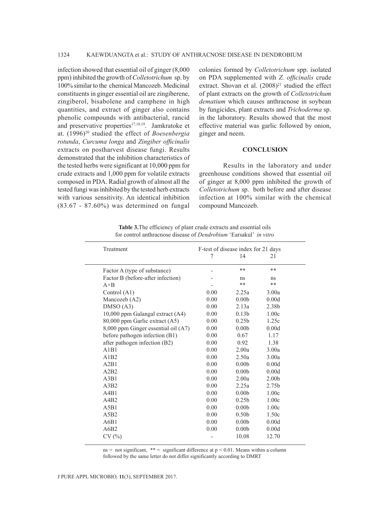infection showed that essential oil of ginger (8,000 ppm) inhibited the growth of *Colletotrichum* sp. by 100% similar to the chemical Mancozeb. Medicinal constituents in ginger essential oil are zingiberene, zingiberol, bisabolene and camphene in high quantities, and extract of ginger also contains phenolic compounds with antibacterial, rancid and preservative properties<sup>17,18,19</sup>. Jamkratoke et at. (1996)20 studied the effect of *Boesenbergia rotunda*, *Curcuma longa* and *Zingiber officinalis*  extracts on postharvest disease fungi. Results demonstrated that the inhibition characteristics of the tested herbs were significant at 10,000 ppm for crude extracts and 1,000 ppm for volatile extracts composed in PDA. Radial growth of almost all the tested fungi was inhibited by the tested herb extracts with various sensitivity. An identical inhibition (83.67 - 87.60%) was determined on fungal

colonies formed by *Colletotrichum* spp. isolated on PDA supplemented with *Z. officinalis* crude extract. Shovan et al.  $(2008)^{21}$  studied the effect of plant extracts on the growth of *Colletotrichum dematium* which causes anthracnose in soybean by fungicides, plant extracts and *Trichoderma* sp. in the laboratory. Results showed that the most effective material was garlic followed by onion, ginger and neem.

## **CONCLUSION**

Results in the laboratory and under greenhouse conditions showed that essential oil of ginger at 8,000 ppm inhibited the growth of *Colletotrichum* sp. both before and after disease infection at 100% similar with the chemical compound Mancozeb.

| <b>Table 3.</b> The efficiency of plant crude extracts and essential oils       |  |
|---------------------------------------------------------------------------------|--|
| for control anthracnose disease of <i>Dendrobium</i> 'Earsakul' <i>in vitro</i> |  |

| Treatment                           | F-test of disease index for 21 days |                   |                   |  |  |
|-------------------------------------|-------------------------------------|-------------------|-------------------|--|--|
|                                     |                                     | 14                | 21                |  |  |
| Factor A (type of substance)        |                                     | **                | $***$             |  |  |
| Factor B (before-after infection)   |                                     | ns                | ns                |  |  |
| $A \times B$                        |                                     | **                | $**$              |  |  |
| Control (A1)                        | 0.00                                | 2.25a             | 3.00a             |  |  |
| Mancozeb (A2)                       | 0.00                                | 0.00 <sub>b</sub> | 0.00d             |  |  |
| DMSO(A3)                            | 0.00                                | 2.13a             | 2.38b             |  |  |
| 10,000 ppm Galangal extract (A4)    | 0.00                                | 0.13 <sub>b</sub> | 1.00c             |  |  |
| 80,000 ppm Garlic extract (A5)      | 0.00                                | 0.25 <sub>b</sub> | 1.25c             |  |  |
| 8,000 ppm Ginger essential oil (A7) | 0.00                                | 0.00 <sub>b</sub> | 0.00d             |  |  |
| before pathogen infection (B1)      | 0.00                                | 0.67              | 1.17              |  |  |
| after pathogen infection (B2)       | 0.00                                | 0.92              | 1.38              |  |  |
| A1B1                                | 0.00                                | 2.00a             | 3.00a             |  |  |
| A1B2                                | 0.00                                | 2.50a             | 3.00a             |  |  |
| A2B1                                | 0.00                                | 0.00 <sub>b</sub> | 0.00d             |  |  |
| A2B2                                | 0.00                                | 0.00 <sub>b</sub> | 0.00d             |  |  |
| A3B1                                | 0.00                                | 2.00a             | 2.00 <sub>b</sub> |  |  |
| A3B2                                | 0.00                                | 2.25a             | 2.75 <sub>b</sub> |  |  |
| A4B1                                | 0.00                                | 0.00 <sub>b</sub> | 1.00c             |  |  |
| A4B2                                | 0.00                                | 0.25 <sub>b</sub> | 1.00c             |  |  |
| A5B1                                | 0.00                                | 0.00 <sub>b</sub> | 1.00c             |  |  |
| A5B2                                | 0.00                                | 0.50 <sub>b</sub> | 1.50c             |  |  |
| A6B1                                | 0.00                                | 0.00 <sub>b</sub> | 0.00d             |  |  |
| A6B2                                | 0.00                                | 0.00 <sub>b</sub> | 0.00d             |  |  |
| CV(%)                               |                                     | 10.08             | 12.70             |  |  |

ns = not significant, \*\* = significant difference at  $p < 0.01$ . Means within a column followed by the same letter do not differ significantly according to DMRT